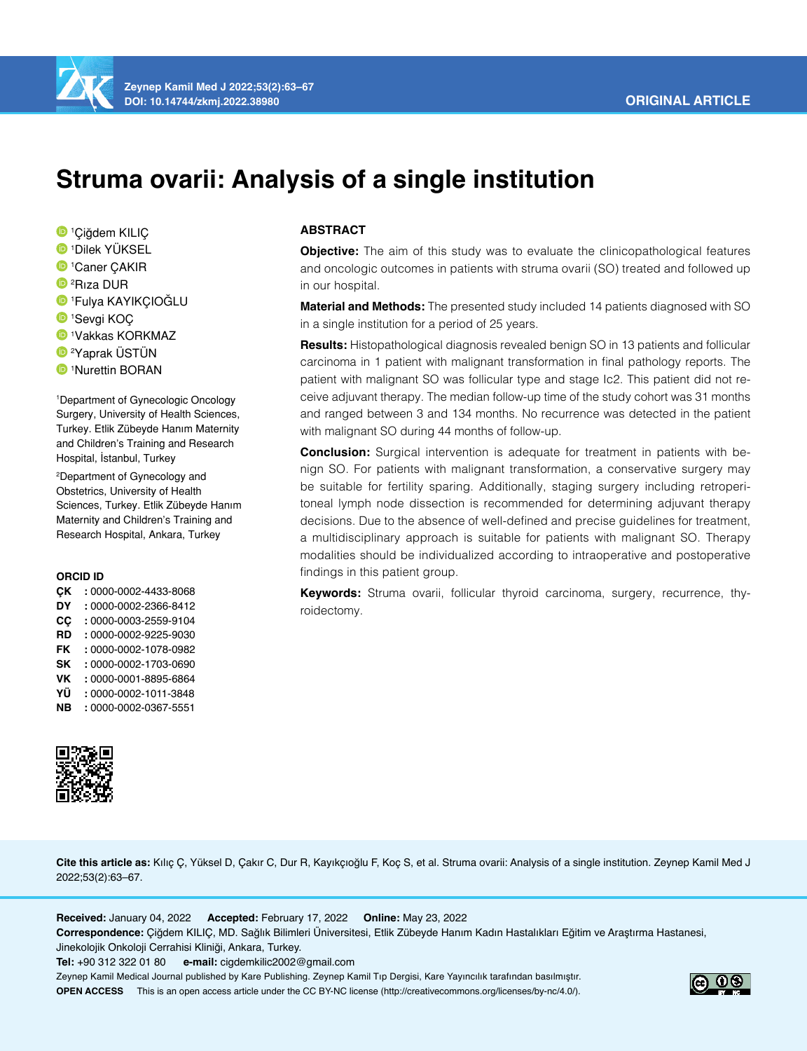# **ORIGINAL ARTICLE**



# **Struma ovarii: Analysis of a single institution**

 Çiğdem KILIÇ Dilek YÜKSEL Caner ÇAKIR 2 Rıza DUR Fulya KAYIKÇIOĞLU Sevgi KOÇ Vakkas KORKMAZ Yaprak ÜSTÜN Nurettin BORAN

1 Department of Gynecologic Oncology Surgery, University of Health Sciences, Turkey. Etlik Zübeyde Hanım Maternity and Children's Training and Research Hospital, İstanbul, Turkey

2 Department of Gynecology and Obstetrics, University of Health Sciences, Turkey. Etlik Zübeyde Hanım Maternity and Children's Training and Research Hospital, Ankara, Turkey

#### **ORCID ID**

| CК        | : 0000-0002-4433-8068 |
|-----------|-----------------------|
| DY        | : 0000-0002-2366-8412 |
| <b>CC</b> | : 0000-0003-2559-9104 |
| <b>RD</b> | : 0000-0002-9225-9030 |
| <b>FK</b> | : 0000-0002-1078-0982 |
| <b>SK</b> | : 0000-0002-1703-0690 |
| VK        | : 0000-0001-8895-6864 |
| ΥÜ        | : 0000-0002-1011-3848 |
| <b>NB</b> | : 0000-0002-0367-5551 |



#### **ABSTRACT**

**Objective:** The aim of this study was to evaluate the clinicopathological features and oncologic outcomes in patients with struma ovarii (SO) treated and followed up in our hospital.

**Material and Methods:** The presented study included 14 patients diagnosed with SO in a single institution for a period of 25 years.

**Results:** Histopathological diagnosis revealed benign SO in 13 patients and follicular carcinoma in 1 patient with malignant transformation in final pathology reports. The patient with malignant SO was follicular type and stage Ic2. This patient did not receive adjuvant therapy. The median follow-up time of the study cohort was 31 months and ranged between 3 and 134 months. No recurrence was detected in the patient with malignant SO during 44 months of follow-up.

**Conclusion:** Surgical intervention is adequate for treatment in patients with benign SO. For patients with malignant transformation, a conservative surgery may be suitable for fertility sparing. Additionally, staging surgery including retroperitoneal lymph node dissection is recommended for determining adjuvant therapy decisions. Due to the absence of well-defined and precise guidelines for treatment, a multidisciplinary approach is suitable for patients with malignant SO. Therapy modalities should be individualized according to intraoperative and postoperative findings in this patient group.

**Keywords:** Struma ovarii, follicular thyroid carcinoma, surgery, recurrence, thyroidectomy.

**Cite this article as:** Kılıç Ç, Yüksel D, Çakır C, Dur R, Kayıkçıoğlu F, Koç S, et al. Struma ovarii: Analysis of a single institution. Zeynep Kamil Med J 2022;53(2):63–67.

**Received:** January 04, 2022 **Accepted:** February 17, 2022 **Online:** May 23, 2022

**Correspondence:** Çiğdem KILIÇ, MD. Sağlık Bilimleri Üniversitesi, Etlik Zübeyde Hanım Kadın Hastalıkları Eğitim ve Araştırma Hastanesi, Jinekolojik Onkoloji Cerrahisi Kliniği, Ankara, Turkey.

**Tel:** +90 312 322 01 80 **e-mail:** cigdemkilic2002@gmail.com

Zeynep Kamil Medical Journal published by Kare Publishing. Zeynep Kamil Tıp Dergisi, Kare Yayıncılık tarafından basılmıştır. **OPEN ACCESS** This is an open access article under the CC BY-NC license (http://creativecommons.org/licenses/by-nc/4.0/).

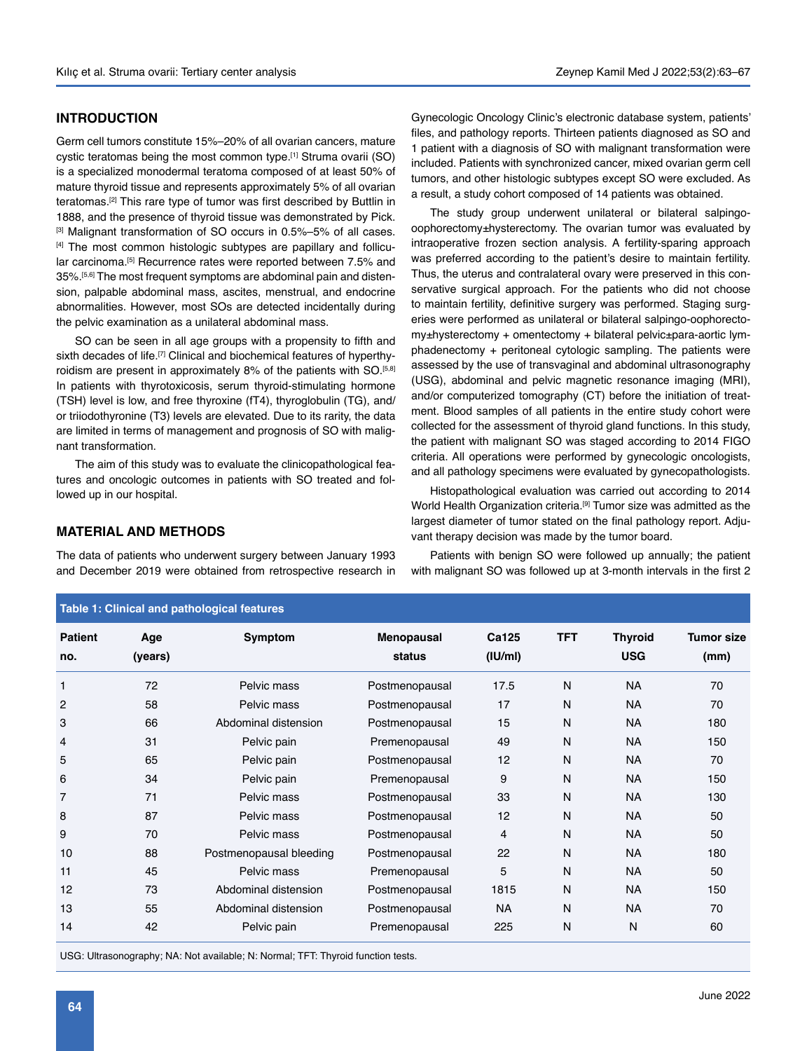### **INTRODUCTION**

Germ cell tumors constitute 15%–20% of all ovarian cancers, mature cystic teratomas being the most common type.<sup>[1]</sup> Struma ovarii (SO) is a specialized monodermal teratoma composed of at least 50% of mature thyroid tissue and represents approximately 5% of all ovarian teratomas.[2] This rare type of tumor was first described by Buttlin in 1888, and the presence of thyroid tissue was demonstrated by Pick. [3] Malignant transformation of SO occurs in 0.5%–5% of all cases. [4] The most common histologic subtypes are papillary and follicular carcinoma.<sup>[5]</sup> Recurrence rates were reported between 7.5% and 35%.<sup>[5,6]</sup> The most frequent symptoms are abdominal pain and distension, palpable abdominal mass, ascites, menstrual, and endocrine abnormalities. However, most SOs are detected incidentally during the pelvic examination as a unilateral abdominal mass.

SO can be seen in all age groups with a propensity to fifth and sixth decades of life.<sup>[7]</sup> Clinical and biochemical features of hyperthyroidism are present in approximately 8% of the patients with SO.<sup>[5,8]</sup> In patients with thyrotoxicosis, serum thyroid-stimulating hormone (TSH) level is low, and free thyroxine (fT4), thyroglobulin (TG), and/ or triiodothyronine (T3) levels are elevated. Due to its rarity, the data are limited in terms of management and prognosis of SO with malignant transformation.

The aim of this study was to evaluate the clinicopathological features and oncologic outcomes in patients with SO treated and followed up in our hospital.

#### **MATERIAL AND METHODS**

The data of patients who underwent surgery between January 1993 and December 2019 were obtained from retrospective research in Gynecologic Oncology Clinic's electronic database system, patients' files, and pathology reports. Thirteen patients diagnosed as SO and 1 patient with a diagnosis of SO with malignant transformation were included. Patients with synchronized cancer, mixed ovarian germ cell tumors, and other histologic subtypes except SO were excluded. As a result, a study cohort composed of 14 patients was obtained.

The study group underwent unilateral or bilateral salpingooophorectomy±hysterectomy. The ovarian tumor was evaluated by intraoperative frozen section analysis. A fertility-sparing approach was preferred according to the patient's desire to maintain fertility. Thus, the uterus and contralateral ovary were preserved in this conservative surgical approach. For the patients who did not choose to maintain fertility, definitive surgery was performed. Staging surgeries were performed as unilateral or bilateral salpingo-oophorectomy±hysterectomy + omentectomy + bilateral pelvic±para-aortic lymphadenectomy + peritoneal cytologic sampling. The patients were assessed by the use of transvaginal and abdominal ultrasonography (USG), abdominal and pelvic magnetic resonance imaging (MRI), and/or computerized tomography (CT) before the initiation of treatment. Blood samples of all patients in the entire study cohort were collected for the assessment of thyroid gland functions. In this study, the patient with malignant SO was staged according to 2014 FIGO criteria. All operations were performed by gynecologic oncologists, and all pathology specimens were evaluated by gynecopathologists.

Histopathological evaluation was carried out according to 2014 World Health Organization criteria.<sup>[9]</sup> Tumor size was admitted as the largest diameter of tumor stated on the final pathology report. Adjuvant therapy decision was made by the tumor board.

Patients with benign SO were followed up annually; the patient with malignant SO was followed up at 3-month intervals in the first 2

| Table 1: Clinical and pathological features |                |                         |                      |                  |            |                              |                           |  |  |  |
|---------------------------------------------|----------------|-------------------------|----------------------|------------------|------------|------------------------------|---------------------------|--|--|--|
| <b>Patient</b><br>no.                       | Age<br>(years) | Symptom                 | Menopausal<br>status | Ca125<br>(IU/ml) | <b>TFT</b> | <b>Thyroid</b><br><b>USG</b> | <b>Tumor size</b><br>(mm) |  |  |  |
| 1                                           | 72             | Pelvic mass             | Postmenopausal       | 17.5             | N          | <b>NA</b>                    | 70                        |  |  |  |
| $\overline{c}$                              | 58             | Pelvic mass             | Postmenopausal       | 17               | N          | <b>NA</b>                    | 70                        |  |  |  |
| 3                                           | 66             | Abdominal distension    | Postmenopausal       | 15               | N          | <b>NA</b>                    | 180                       |  |  |  |
| 4                                           | 31             | Pelvic pain             | Premenopausal        | 49               | N          | <b>NA</b>                    | 150                       |  |  |  |
| 5                                           | 65             | Pelvic pain             | Postmenopausal       | 12               | N          | <b>NA</b>                    | 70                        |  |  |  |
| 6                                           | 34             | Pelvic pain             | Premenopausal        | 9                | N          | <b>NA</b>                    | 150                       |  |  |  |
| $\overline{7}$                              | 71             | Pelvic mass             | Postmenopausal       | 33               | N          | <b>NA</b>                    | 130                       |  |  |  |
| 8                                           | 87             | Pelvic mass             | Postmenopausal       | 12               | N          | <b>NA</b>                    | 50                        |  |  |  |
| 9                                           | 70             | Pelvic mass             | Postmenopausal       | 4                | N          | <b>NA</b>                    | 50                        |  |  |  |
| 10                                          | 88             | Postmenopausal bleeding | Postmenopausal       | 22               | N          | <b>NA</b>                    | 180                       |  |  |  |
| 11                                          | 45             | Pelvic mass             | Premenopausal        | 5                | N          | <b>NA</b>                    | 50                        |  |  |  |
| 12                                          | 73             | Abdominal distension    | Postmenopausal       | 1815             | N          | <b>NA</b>                    | 150                       |  |  |  |
| 13                                          | 55             | Abdominal distension    | Postmenopausal       | <b>NA</b>        | N          | <b>NA</b>                    | 70                        |  |  |  |
| 14                                          | 42             | Pelvic pain             | Premenopausal        | 225              | N          | N                            | 60                        |  |  |  |

USG: Ultrasonography; NA: Not available; N: Normal; TFT: Thyroid function tests.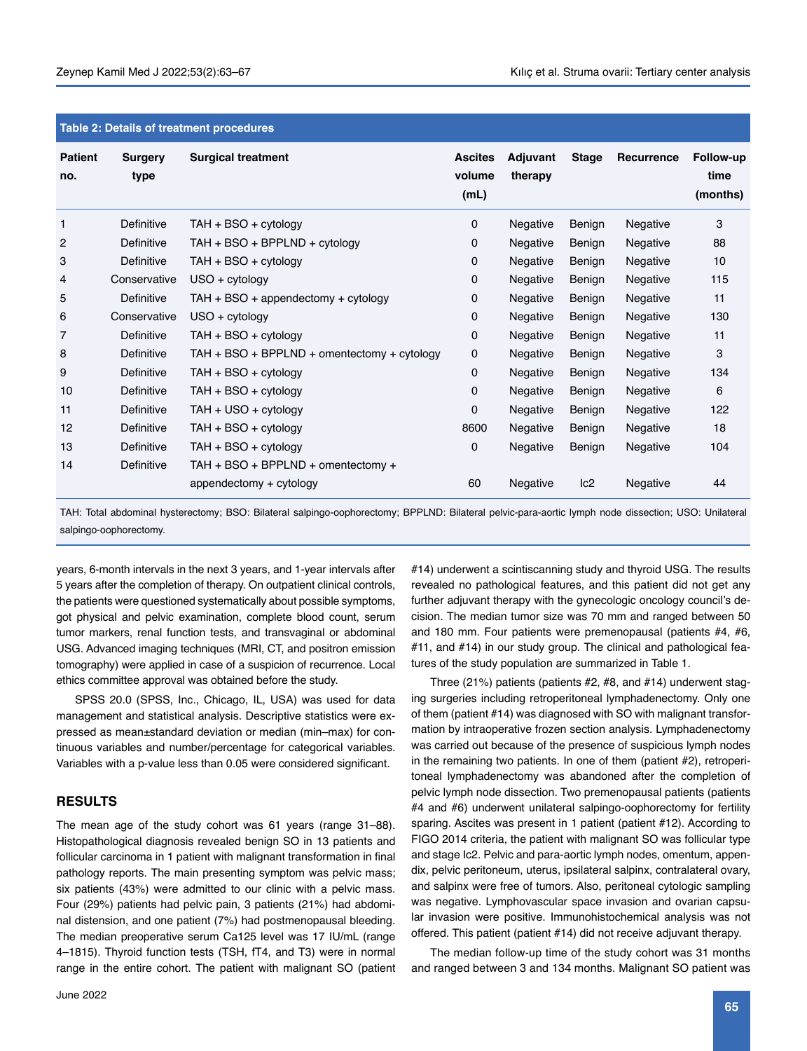| Table 2: Details of treatment procedures |                 |                                             |                                  |                     |              |                   |                               |  |  |
|------------------------------------------|-----------------|---------------------------------------------|----------------------------------|---------------------|--------------|-------------------|-------------------------------|--|--|
| <b>Patient</b><br>no.                    | Surgery<br>type | <b>Surgical treatment</b>                   | <b>Ascites</b><br>volume<br>(mL) | Adjuvant<br>therapy | <b>Stage</b> | <b>Recurrence</b> | Follow-up<br>time<br>(months) |  |  |
| 1                                        | Definitive      | $TAH + BSO + cytology$                      | 0                                | Negative            | Benign       | Negative          | 3                             |  |  |
| 2                                        | Definitive      | $TAH + BSO + BPPLND + cytology$             | 0                                | Negative            | Benign       | Negative          | 88                            |  |  |
| 3                                        | Definitive      | $TAH + BSO + cytology$                      | 0                                | Negative            | Benign       | Negative          | 10                            |  |  |
| 4                                        | Conservative    | USO + cytology                              | 0                                | Negative            | Benign       | Negative          | 115                           |  |  |
| 5                                        | Definitive      | TAH + BSO + appendectomy + cytology         | 0                                | Negative            | Benign       | Negative          | 11                            |  |  |
| 6                                        | Conservative    | USO + cytology                              | 0                                | Negative            | Benign       | Negative          | 130                           |  |  |
| $\overline{7}$                           | Definitive      | TAH + BSO + cytology                        | 0                                | Negative            | Benign       | Negative          | 11                            |  |  |
| 8                                        | Definitive      | TAH + BSO + BPPLND + omentectomy + cytology | 0                                | Negative            | Benign       | Negative          | 3                             |  |  |
| 9                                        | Definitive      | TAH + BSO + cytology                        | 0                                | Negative            | Benign       | Negative          | 134                           |  |  |
| 10                                       | Definitive      | TAH + BSO + cytology                        | 0                                | Negative            | Benign       | Negative          | 6                             |  |  |
| 11                                       | Definitive      | TAH + USO + cytology                        | 0                                | Negative            | Benign       | Negative          | 122                           |  |  |
| 12                                       | Definitive      | TAH + BSO + cytology                        | 8600                             | Negative            | Benign       | Negative          | 18                            |  |  |
| 13                                       | Definitive      | TAH + BSO + cytology                        | 0                                | Negative            | Benign       | Negative          | 104                           |  |  |
| 14                                       | Definitive      | TAH + BSO + BPPLND + omentectomy +          |                                  |                     |              |                   |                               |  |  |
|                                          |                 | appendectomy + cytology                     | 60                               | Negative            | lc2          | Negative          | 44                            |  |  |
|                                          |                 |                                             |                                  |                     |              |                   |                               |  |  |

**Table 2: Details of treatment procedures**

TAH: Total abdominal hysterectomy; BSO: Bilateral salpingo-oophorectomy; BPPLND: Bilateral pelvic-para-aortic lymph node dissection; USO: Unilateral salpingo-oophorectomy.

years, 6-month intervals in the next 3 years, and 1-year intervals after 5 years after the completion of therapy. On outpatient clinical controls, the patients were questioned systematically about possible symptoms, got physical and pelvic examination, complete blood count, serum tumor markers, renal function tests, and transvaginal or abdominal USG. Advanced imaging techniques (MRI, CT, and positron emission tomography) were applied in case of a suspicion of recurrence. Local ethics committee approval was obtained before the study.

SPSS 20.0 (SPSS, Inc., Chicago, IL, USA) was used for data management and statistical analysis. Descriptive statistics were expressed as mean±standard deviation or median (min–max) for continuous variables and number/percentage for categorical variables. Variables with a p-value less than 0.05 were considered significant.

#### **RESULTS**

The mean age of the study cohort was 61 years (range 31–88). Histopathological diagnosis revealed benign SO in 13 patients and follicular carcinoma in 1 patient with malignant transformation in final pathology reports. The main presenting symptom was pelvic mass; six patients (43%) were admitted to our clinic with a pelvic mass. Four (29%) patients had pelvic pain, 3 patients (21%) had abdominal distension, and one patient (7%) had postmenopausal bleeding. The median preoperative serum Ca125 level was 17 IU/mL (range 4–1815). Thyroid function tests (TSH, fT4, and T3) were in normal range in the entire cohort. The patient with malignant SO (patient #14) underwent a scintiscanning study and thyroid USG. The results revealed no pathological features, and this patient did not get any further adjuvant therapy with the gynecologic oncology council's decision. The median tumor size was 70 mm and ranged between 50 and 180 mm. Four patients were premenopausal (patients #4, #6, #11, and #14) in our study group. The clinical and pathological features of the study population are summarized in Table 1.

Three (21%) patients (patients #2, #8, and #14) underwent staging surgeries including retroperitoneal lymphadenectomy. Only one of them (patient #14) was diagnosed with SO with malignant transformation by intraoperative frozen section analysis. Lymphadenectomy was carried out because of the presence of suspicious lymph nodes in the remaining two patients. In one of them (patient #2), retroperitoneal lymphadenectomy was abandoned after the completion of pelvic lymph node dissection. Two premenopausal patients (patients #4 and #6) underwent unilateral salpingo-oophorectomy for fertility sparing. Ascites was present in 1 patient (patient #12). According to FIGO 2014 criteria, the patient with malignant SO was follicular type and stage Ic2. Pelvic and para-aortic lymph nodes, omentum, appendix, pelvic peritoneum, uterus, ipsilateral salpinx, contralateral ovary, and salpinx were free of tumors. Also, peritoneal cytologic sampling was negative. Lymphovascular space invasion and ovarian capsular invasion were positive. Immunohistochemical analysis was not offered. This patient (patient #14) did not receive adjuvant therapy.

The median follow-up time of the study cohort was 31 months and ranged between 3 and 134 months. Malignant SO patient was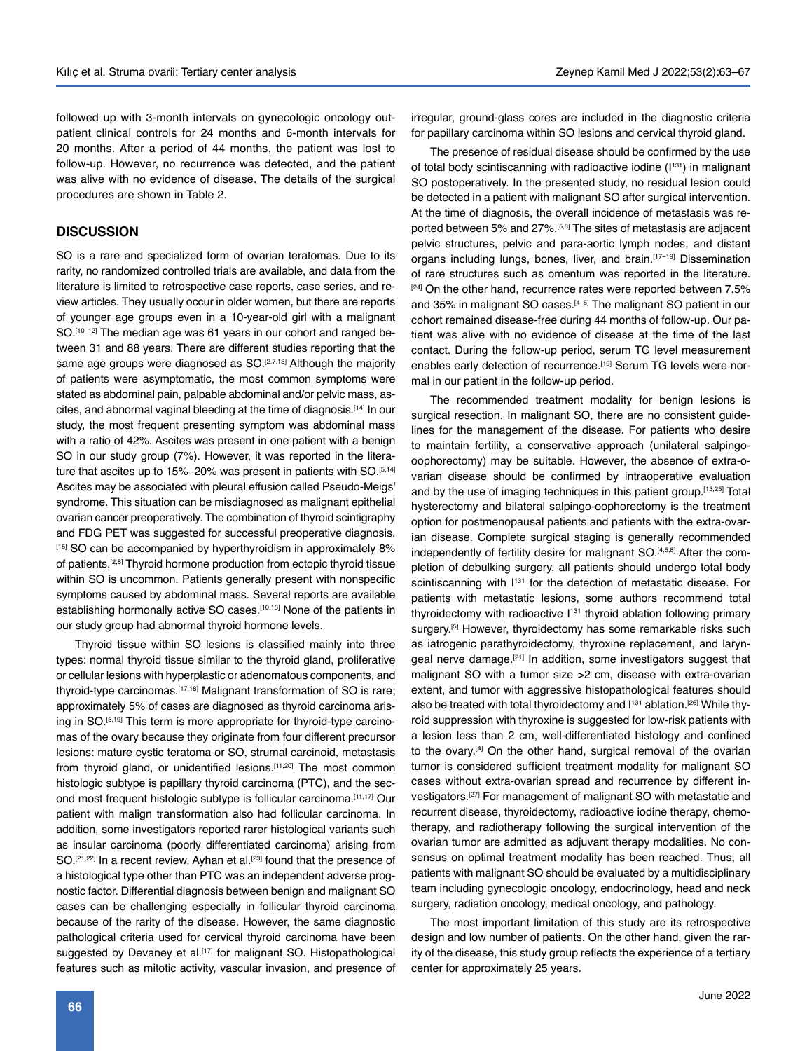followed up with 3-month intervals on gynecologic oncology outpatient clinical controls for 24 months and 6-month intervals for 20 months. After a period of 44 months, the patient was lost to follow-up. However, no recurrence was detected, and the patient was alive with no evidence of disease. The details of the surgical procedures are shown in Table 2.

#### **DISCUSSION**

SO is a rare and specialized form of ovarian teratomas. Due to its rarity, no randomized controlled trials are available, and data from the literature is limited to retrospective case reports, case series, and review articles. They usually occur in older women, but there are reports of younger age groups even in a 10-year-old girl with a malignant SO.<sup>[10–12]</sup> The median age was 61 years in our cohort and ranged between 31 and 88 years. There are different studies reporting that the same age groups were diagnosed as SO.[2,7,13] Although the majority of patients were asymptomatic, the most common symptoms were stated as abdominal pain, palpable abdominal and/or pelvic mass, ascites, and abnormal vaginal bleeding at the time of diagnosis.[14] In our study, the most frequent presenting symptom was abdominal mass with a ratio of 42%. Ascites was present in one patient with a benign SO in our study group (7%). However, it was reported in the literature that ascites up to 15%–20% was present in patients with SO.<sup>[5,14]</sup> Ascites may be associated with pleural effusion called Pseudo-Meigs' syndrome. This situation can be misdiagnosed as malignant epithelial ovarian cancer preoperatively. The combination of thyroid scintigraphy and FDG PET was suggested for successful preoperative diagnosis. [15] SO can be accompanied by hyperthyroidism in approximately 8% of patients.[2,8] Thyroid hormone production from ectopic thyroid tissue within SO is uncommon. Patients generally present with nonspecific symptoms caused by abdominal mass. Several reports are available establishing hormonally active SO cases.<sup>[10,16]</sup> None of the patients in our study group had abnormal thyroid hormone levels.

Thyroid tissue within SO lesions is classified mainly into three types: normal thyroid tissue similar to the thyroid gland, proliferative or cellular lesions with hyperplastic or adenomatous components, and thyroid-type carcinomas.<sup>[17,18]</sup> Malignant transformation of SO is rare; approximately 5% of cases are diagnosed as thyroid carcinoma arising in SO.[5,19] This term is more appropriate for thyroid-type carcinomas of the ovary because they originate from four different precursor lesions: mature cystic teratoma or SO, strumal carcinoid, metastasis from thyroid gland, or unidentified lesions.<sup>[11,20]</sup> The most common histologic subtype is papillary thyroid carcinoma (PTC), and the second most frequent histologic subtype is follicular carcinoma.[11,17] Our patient with malign transformation also had follicular carcinoma. In addition, some investigators reported rarer histological variants such as insular carcinoma (poorly differentiated carcinoma) arising from SO.<sup>[21,22]</sup> In a recent review, Ayhan et al.<sup>[23]</sup> found that the presence of a histological type other than PTC was an independent adverse prognostic factor. Differential diagnosis between benign and malignant SO cases can be challenging especially in follicular thyroid carcinoma because of the rarity of the disease. However, the same diagnostic pathological criteria used for cervical thyroid carcinoma have been suggested by Devaney et al.<sup>[17]</sup> for malignant SO. Histopathological features such as mitotic activity, vascular invasion, and presence of irregular, ground-glass cores are included in the diagnostic criteria for papillary carcinoma within SO lesions and cervical thyroid gland.

The presence of residual disease should be confirmed by the use of total body scintiscanning with radioactive iodine (I<sup>131</sup>) in malignant SO postoperatively. In the presented study, no residual lesion could be detected in a patient with malignant SO after surgical intervention. At the time of diagnosis, the overall incidence of metastasis was reported between 5% and 27%.[5,8] The sites of metastasis are adjacent pelvic structures, pelvic and para-aortic lymph nodes, and distant organs including lungs, bones, liver, and brain.[17–19] Dissemination of rare structures such as omentum was reported in the literature. [24] On the other hand, recurrence rates were reported between 7.5% and 35% in malignant SO cases.<sup>[4-6]</sup> The malignant SO patient in our cohort remained disease-free during 44 months of follow-up. Our patient was alive with no evidence of disease at the time of the last contact. During the follow-up period, serum TG level measurement enables early detection of recurrence.<sup>[19]</sup> Serum TG levels were normal in our patient in the follow-up period.

The recommended treatment modality for benign lesions is surgical resection. In malignant SO, there are no consistent guidelines for the management of the disease. For patients who desire to maintain fertility, a conservative approach (unilateral salpingooophorectomy) may be suitable. However, the absence of extra-ovarian disease should be confirmed by intraoperative evaluation and by the use of imaging techniques in this patient group.[13,25] Total hysterectomy and bilateral salpingo-oophorectomy is the treatment option for postmenopausal patients and patients with the extra-ovarian disease. Complete surgical staging is generally recommended independently of fertility desire for malignant SO.<sup>[4,5,8]</sup> After the completion of debulking surgery, all patients should undergo total body scintiscanning with  $1^{131}$  for the detection of metastatic disease. For patients with metastatic lesions, some authors recommend total thyroidectomy with radioactive  $1^{131}$  thyroid ablation following primary surgery.<sup>[5]</sup> However, thyroidectomy has some remarkable risks such as iatrogenic parathyroidectomy, thyroxine replacement, and laryngeal nerve damage.[21] In addition, some investigators suggest that malignant SO with a tumor size >2 cm, disease with extra-ovarian extent, and tumor with aggressive histopathological features should also be treated with total thyroidectomy and I<sup>131</sup> ablation.<sup>[26]</sup> While thyroid suppression with thyroxine is suggested for low-risk patients with a lesion less than 2 cm, well-differentiated histology and confined to the ovary.<sup>[4]</sup> On the other hand, surgical removal of the ovarian tumor is considered sufficient treatment modality for malignant SO cases without extra-ovarian spread and recurrence by different investigators.[27] For management of malignant SO with metastatic and recurrent disease, thyroidectomy, radioactive iodine therapy, chemotherapy, and radiotherapy following the surgical intervention of the ovarian tumor are admitted as adjuvant therapy modalities. No consensus on optimal treatment modality has been reached. Thus, all patients with malignant SO should be evaluated by a multidisciplinary team including gynecologic oncology, endocrinology, head and neck surgery, radiation oncology, medical oncology, and pathology.

The most important limitation of this study are its retrospective design and low number of patients. On the other hand, given the rarity of the disease, this study group reflects the experience of a tertiary center for approximately 25 years.